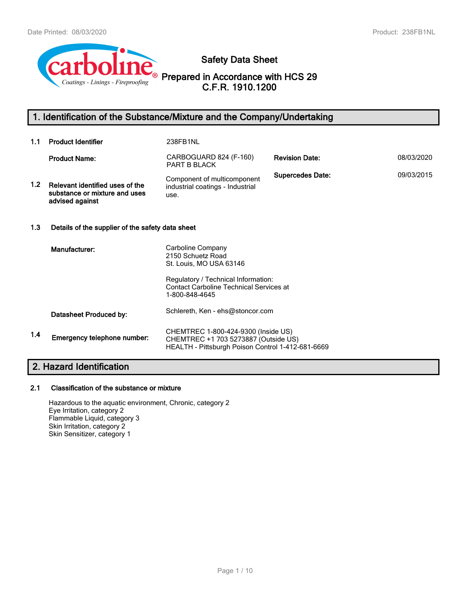

**Safety Data Sheet**

**Prepared in Accordance with HCS 29 C.F.R. 1910.1200**

# **1. Identification of the Substance/Mixture and the Company/Undertaking**

| 1.1              | <b>Product Identifier</b>                                                           | 238FB1NL                                                                                                                         |                         |            |
|------------------|-------------------------------------------------------------------------------------|----------------------------------------------------------------------------------------------------------------------------------|-------------------------|------------|
|                  | <b>Product Name:</b>                                                                | CARBOGUARD 824 (F-160)<br><b>PART B BLACK</b>                                                                                    | <b>Revision Date:</b>   | 08/03/2020 |
| 1.2 <sub>1</sub> | Relevant identified uses of the<br>substance or mixture and uses<br>advised against | Component of multicomponent<br>industrial coatings - Industrial<br>use.                                                          | <b>Supercedes Date:</b> | 09/03/2015 |
| 1.3              | Details of the supplier of the safety data sheet                                    |                                                                                                                                  |                         |            |
|                  | Manufacturer:                                                                       | Carboline Company<br>2150 Schuetz Road<br>St. Louis, MO USA 63146<br>Regulatory / Technical Information:                         |                         |            |
|                  |                                                                                     | <b>Contact Carboline Technical Services at</b><br>1-800-848-4645                                                                 |                         |            |
|                  | Datasheet Produced by:                                                              | Schlereth, Ken - ehs@stoncor.com                                                                                                 |                         |            |
| 1.4              | Emergency telephone number:                                                         | CHEMTREC 1-800-424-9300 (Inside US)<br>CHEMTREC +1 703 5273887 (Outside US)<br>HEALTH - Pittsburgh Poison Control 1-412-681-6669 |                         |            |
|                  | <u>O</u> Llopend Identification                                                     |                                                                                                                                  |                         |            |

# **2. Hazard Identification**

# **2.1 Classification of the substance or mixture**

Hazardous to the aquatic environment, Chronic, category 2 Eye Irritation, category 2 Flammable Liquid, category 3 Skin Irritation, category 2 Skin Sensitizer, category 1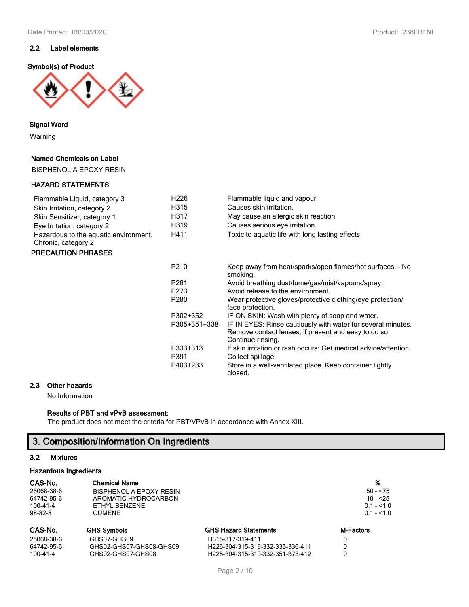## **2.2 Label elements**

#### **Symbol(s) of Product**



**Signal Word**

Warning

## **Named Chemicals on Label**

BISPHENOL A EPOXY RESIN

#### **HAZARD STATEMENTS**

## Flammable Liquid, category 3 H226 Flammable liquid and vapour. Skin Irritation, category 2 **H315** Causes skin irritation. Skin Sensitizer, category 1 
H317 May cause an allergic skin reaction.<br>
Fye Irritation category 2 
H319 Causes serious eve irritation. Eye Irritation, category 2 H319 Causes serious eye irritation. Hazardous to the aquatic environment, H411 Toxic to aquatic life with long lasting effects. Chronic, category 2

#### **PRECAUTION PHRASES**

| P <sub>210</sub> | Keep away from heat/sparks/open flames/hot surfaces. - No<br>smoking.                                                                     |
|------------------|-------------------------------------------------------------------------------------------------------------------------------------------|
| P <sub>261</sub> | Avoid breathing dust/fume/gas/mist/vapours/spray.                                                                                         |
| P273             | Avoid release to the environment.                                                                                                         |
| P <sub>280</sub> | Wear protective gloves/protective clothing/eye protection/<br>face protection.                                                            |
| P302+352         | IF ON SKIN: Wash with plenty of soap and water.                                                                                           |
| P305+351+338     | IF IN EYES: Rinse cautiously with water for several minutes.<br>Remove contact lenses, if present and easy to do so.<br>Continue rinsing. |
| P333+313<br>P391 | If skin irritation or rash occurs: Get medical advice/attention.<br>Collect spillage.                                                     |
| P403+233         | Store in a well-ventilated place. Keep container tightly<br>closed.                                                                       |

#### **2.3 Other hazards**

No Information

#### **Results of PBT and vPvB assessment:**

The product does not meet the criteria for PBT/VPvB in accordance with Annex XIII.

# **3. Composition/Information On Ingredients**

#### **3.2 Mixtures**

#### **Hazardous Ingredients**

| CAS-No.<br><b>Chemical Name</b><br>25068-38-6<br>BISPHENOL A EPOXY RESIN<br>64742-95-6<br>AROMATIC HYDROCARBON<br>100-41-4<br>ETHYL BENZENE<br>$98 - 82 - 8$<br><b>CUMENE</b> |                                        | $50 - 75$<br>$10 - 25$<br>$0.1 - 1.0$<br>$0.1 - 1.0$ |           |
|-------------------------------------------------------------------------------------------------------------------------------------------------------------------------------|----------------------------------------|------------------------------------------------------|-----------|
| CAS-No.                                                                                                                                                                       | <b>GHS Symbols</b>                     | <b>GHS Hazard Statements</b>                         | M-Factors |
| 25068-38-6<br>64742-95-6                                                                                                                                                      | GHS07-GHS09<br>GHS02-GHS07-GHS08-GHS09 | H315-317-319-411<br>H226-304-315-319-332-335-336-411 |           |
| 100-41-4                                                                                                                                                                      | GHS02-GHS07-GHS08                      | H225-304-315-319-332-351-373-412                     | 0         |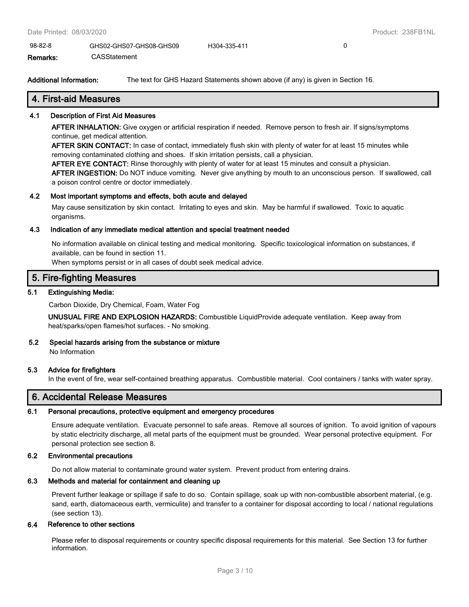98-82-8 GHS02-GHS07-GHS08-GHS09 H304-335-411 0 **Remarks:** CASStatement

**Additional Information:** The text for GHS Hazard Statements shown above (if any) is given in Section 16.

## **4. First-aid Measures**

#### **4.1 Description of First Aid Measures**

**AFTER INHALATION:** Give oxygen or artificial respiration if needed. Remove person to fresh air. If signs/symptoms continue, get medical attention.

**AFTER SKIN CONTACT:** In case of contact, immediately flush skin with plenty of water for at least 15 minutes while removing contaminated clothing and shoes. If skin irritation persists, call a physician.

**AFTER EYE CONTACT:** Rinse thoroughly with plenty of water for at least 15 minutes and consult a physician. **AFTER INGESTION:** Do NOT induce vomiting. Never give anything by mouth to an unconscious person. If swallowed, call

a poison control centre or doctor immediately.

#### **4.2 Most important symptoms and effects, both acute and delayed**

May cause sensitization by skin contact. Irritating to eyes and skin. May be harmful if swallowed. Toxic to aquatic organisms.

#### **4.3 Indication of any immediate medical attention and special treatment needed**

No information available on clinical testing and medical monitoring. Specific toxicological information on substances, if available, can be found in section 11.

When symptoms persist or in all cases of doubt seek medical advice.

# **5. Fire-fighting Measures**

## **5.1 Extinguishing Media:**

Carbon Dioxide, Dry Chemical, Foam, Water Fog

**UNUSUAL FIRE AND EXPLOSION HAZARDS:** Combustible LiquidProvide adequate ventilation. Keep away from heat/sparks/open flames/hot surfaces. - No smoking.

# **5.2 Special hazards arising from the substance or mixture**

No Information

## **5.3 Advice for firefighters**

In the event of fire, wear self-contained breathing apparatus. Combustible material. Cool containers / tanks with water spray.

# **6. Accidental Release Measures**

#### **6.1 Personal precautions, protective equipment and emergency procedures**

Ensure adequate ventilation. Evacuate personnel to safe areas. Remove all sources of ignition. To avoid ignition of vapours by static electricity discharge, all metal parts of the equipment must be grounded. Wear personal protective equipment. For personal protection see section 8.

## **6.2 Environmental precautions**

Do not allow material to contaminate ground water system. Prevent product from entering drains.

#### **6.3 Methods and material for containment and cleaning up**

Prevent further leakage or spillage if safe to do so. Contain spillage, soak up with non-combustible absorbent material, (e.g. sand, earth, diatomaceous earth, vermiculite) and transfer to a container for disposal according to local / national regulations (see section 13).

#### **6.4 Reference to other sections**

Please refer to disposal requirements or country specific disposal requirements for this material. See Section 13 for further information.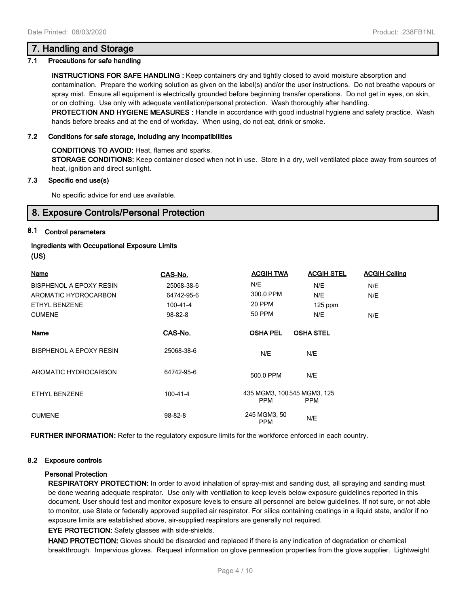## **7. Handling and Storage**

#### **7.1 Precautions for safe handling**

**INSTRUCTIONS FOR SAFE HANDLING :** Keep containers dry and tightly closed to avoid moisture absorption and contamination. Prepare the working solution as given on the label(s) and/or the user instructions. Do not breathe vapours or spray mist. Ensure all equipment is electrically grounded before beginning transfer operations. Do not get in eyes, on skin, or on clothing. Use only with adequate ventilation/personal protection. Wash thoroughly after handling. **PROTECTION AND HYGIENE MEASURES :** Handle in accordance with good industrial hygiene and safety practice. Wash hands before breaks and at the end of workday. When using, do not eat, drink or smoke.

#### **7.2 Conditions for safe storage, including any incompatibilities**

**CONDITIONS TO AVOID:** Heat, flames and sparks.

**STORAGE CONDITIONS:** Keep container closed when not in use. Store in a dry, well ventilated place away from sources of heat, ignition and direct sunlight.

#### **7.3 Specific end use(s)**

No specific advice for end use available.

# **8. Exposure Controls/Personal Protection**

#### **8.1 Control parameters**

## **Ingredients with Occupational Exposure Limits (US)**

| <b>Name</b>                    | CAS-No.    | <b>ACGIH TWA</b>                          | <b>ACGIH STEL</b> | <b>ACGIH Ceiling</b> |
|--------------------------------|------------|-------------------------------------------|-------------------|----------------------|
| BISPHENOL A EPOXY RESIN        | 25068-38-6 | N/E                                       | N/E               | N/E                  |
| AROMATIC HYDROCARBON           | 64742-95-6 | 300.0 PPM                                 | N/E               | N/E                  |
| ETHYL BENZENE                  | 100-41-4   | 20 PPM                                    | $125$ ppm         |                      |
| <b>CUMENE</b>                  | 98-82-8    | 50 PPM                                    | N/E               | N/E                  |
| Name                           | CAS-No.    | <b>OSHA PEL</b>                           | <b>OSHA STEL</b>  |                      |
| <b>BISPHENOL A EPOXY RESIN</b> | 25068-38-6 | N/E                                       | N/E               |                      |
| AROMATIC HYDROCARBON           | 64742-95-6 | 500.0 PPM                                 | N/E               |                      |
| ETHYL BENZENE                  | 100-41-4   | 435 MGM3, 100 545 MGM3, 125<br><b>PPM</b> | <b>PPM</b>        |                      |
| <b>CUMENE</b>                  | 98-82-8    | 245 MGM3, 50<br><b>PPM</b>                | N/E               |                      |

**FURTHER INFORMATION:** Refer to the regulatory exposure limits for the workforce enforced in each country.

#### **8.2 Exposure controls**

#### **Personal Protection**

**RESPIRATORY PROTECTION:** In order to avoid inhalation of spray-mist and sanding dust, all spraying and sanding must be done wearing adequate respirator. Use only with ventilation to keep levels below exposure guidelines reported in this document. User should test and monitor exposure levels to ensure all personnel are below guidelines. If not sure, or not able to monitor, use State or federally approved supplied air respirator. For silica containing coatings in a liquid state, and/or if no exposure limits are established above, air-supplied respirators are generally not required.

#### **EYE PROTECTION:** Safety glasses with side-shields.

**HAND PROTECTION:** Gloves should be discarded and replaced if there is any indication of degradation or chemical breakthrough. Impervious gloves. Request information on glove permeation properties from the glove supplier. Lightweight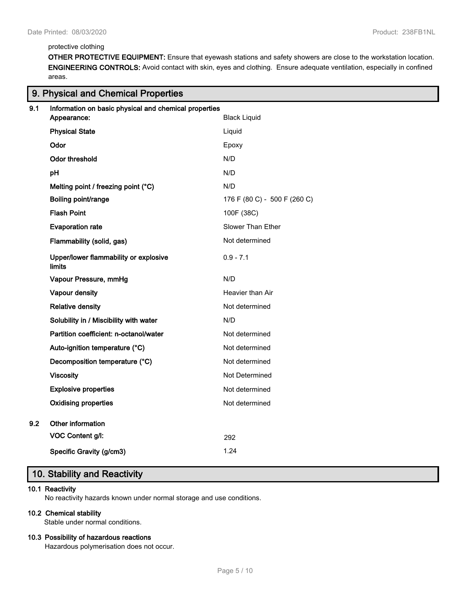#### protective clothing

**9. Physical and Chemical Properties**

**OTHER PROTECTIVE EQUIPMENT:** Ensure that eyewash stations and safety showers are close to the workstation location. **ENGINEERING CONTROLS:** Avoid contact with skin, eyes and clothing. Ensure adequate ventilation, especially in confined areas.

| 9.1 | Information on basic physical and chemical properties<br>Appearance: | <b>Black Liquid</b>          |
|-----|----------------------------------------------------------------------|------------------------------|
|     | <b>Physical State</b>                                                | Liquid                       |
|     | Odor                                                                 | Epoxy                        |
|     | <b>Odor threshold</b>                                                | N/D                          |
|     | pH                                                                   | N/D                          |
|     | Melting point / freezing point (°C)                                  | N/D                          |
|     | Boiling point/range                                                  | 176 F (80 C) - 500 F (260 C) |
|     | <b>Flash Point</b>                                                   | 100F (38C)                   |
|     | <b>Evaporation rate</b>                                              | Slower Than Ether            |
|     | Flammability (solid, gas)                                            | Not determined               |
|     | Upper/lower flammability or explosive<br><b>limits</b>               | $0.9 - 7.1$                  |
|     | Vapour Pressure, mmHg                                                | N/D                          |
|     | Vapour density                                                       | Heavier than Air             |
|     | <b>Relative density</b>                                              | Not determined               |
|     | Solubility in / Miscibility with water                               | N/D                          |
|     | Partition coefficient: n-octanol/water                               | Not determined               |
|     | Auto-ignition temperature (°C)                                       | Not determined               |
|     | Decomposition temperature (°C)                                       | Not determined               |
|     | <b>Viscosity</b>                                                     | Not Determined               |
|     | <b>Explosive properties</b>                                          | Not determined               |
|     | <b>Oxidising properties</b>                                          | Not determined               |
| 9.2 | Other information                                                    |                              |
|     | VOC Content g/l:                                                     | 292                          |
|     | Specific Gravity (g/cm3)                                             | 1.24                         |

# **10. Stability and Reactivity**

#### **10.1 Reactivity**

No reactivity hazards known under normal storage and use conditions.

#### **10.2 Chemical stability**

Stable under normal conditions.

#### **10.3 Possibility of hazardous reactions**

Hazardous polymerisation does not occur.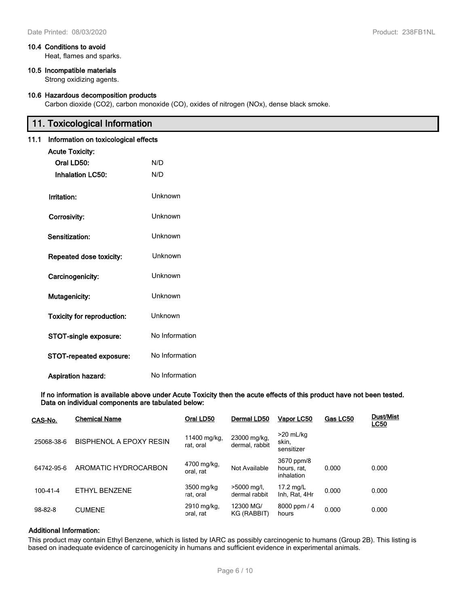#### **10.4 Conditions to avoid**

Heat, flames and sparks.

#### **10.5 Incompatible materials**

Strong oxidizing agents.

#### **10.6 Hazardous decomposition products**

Carbon dioxide (CO2), carbon monoxide (CO), oxides of nitrogen (NOx), dense black smoke.

# **11. Toxicological Information**

| 11.1<br>Information on toxicological effects |                                |                |
|----------------------------------------------|--------------------------------|----------------|
|                                              | <b>Acute Toxicity:</b>         |                |
|                                              | Oral LD50:                     | N/D            |
|                                              | <b>Inhalation LC50:</b>        | N/D            |
|                                              | Irritation:                    | Unknown        |
|                                              | Corrosivity:                   | Unknown        |
|                                              | Sensitization:                 | Unknown        |
|                                              | Repeated dose toxicity:        | Unknown        |
|                                              | Carcinogenicity:               | Unknown        |
|                                              | Mutagenicity:                  | Unknown        |
|                                              | Toxicity for reproduction:     | Unknown        |
|                                              | STOT-single exposure:          | No Information |
|                                              | <b>STOT-repeated exposure:</b> | No Information |
|                                              | Aspiration hazard:             | No Information |

**If no information is available above under Acute Toxicity then the acute effects of this product have not been tested. Data on individual components are tabulated below:**

| CAS-No.    | <b>Chemical Name</b>           | Oral LD50                 | Dermal LD50                    | Vapor LC50                              | Gas LC50 | <b>Dust/Mist</b><br><b>LC50</b> |
|------------|--------------------------------|---------------------------|--------------------------------|-----------------------------------------|----------|---------------------------------|
| 25068-38-6 | <b>BISPHENOL A EPOXY RESIN</b> | 11400 mg/kg.<br>rat. oral | 23000 mg/kg,<br>dermal, rabbit | $>20$ mL/kg<br>skin,<br>sensitizer      |          |                                 |
| 64742-95-6 | AROMATIC HYDROCARBON           | 4700 mg/kg,<br>oral. rat  | Not Available                  | 3670 ppm/8<br>hours, rat.<br>inhalation | 0.000    | 0.000                           |
| 100-41-4   | ETHYL BENZENE                  | 3500 mg/kg<br>rat, oral   | >5000 mg/l,<br>dermal rabbit   | 17.2 $mg/L$<br>Inh, Rat, 4Hr            | 0.000    | 0.000                           |
| 98-82-8    | <b>CUMENE</b>                  | 2910 mg/kg,<br>oral, rat  | 12300 MG/<br>KG (RABBIT)       | 8000 ppm / 4<br>hours                   | 0.000    | 0.000                           |

#### **Additional Information:**

This product may contain Ethyl Benzene, which is listed by IARC as possibly carcinogenic to humans (Group 2B). This listing is based on inadequate evidence of carcinogenicity in humans and sufficient evidence in experimental animals.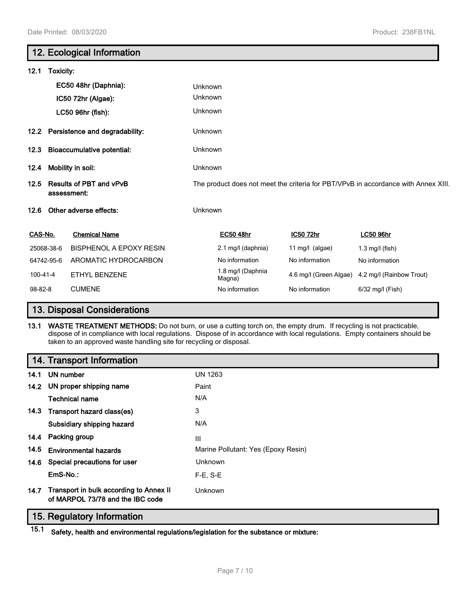|          |                                               | 12. Ecological Information          |         |                                                                                    |                        |                          |  |
|----------|-----------------------------------------------|-------------------------------------|---------|------------------------------------------------------------------------------------|------------------------|--------------------------|--|
| 12.1     | Toxicity:                                     |                                     |         |                                                                                    |                        |                          |  |
|          |                                               | EC50 48hr (Daphnia):                | Unknown |                                                                                    |                        |                          |  |
|          |                                               | IC50 72hr (Algae):                  | Unknown |                                                                                    |                        |                          |  |
|          |                                               | LC50 96hr (fish):                   | Unknown |                                                                                    |                        |                          |  |
|          |                                               | 12.2 Persistence and degradability: | Unknown |                                                                                    |                        |                          |  |
| 12.3     |                                               | <b>Bioaccumulative potential:</b>   | Unknown |                                                                                    |                        |                          |  |
| 12.4     | Mobility in soil:                             |                                     |         | Unknown                                                                            |                        |                          |  |
| 12.5     | <b>Results of PBT and vPvB</b><br>assessment: |                                     |         | The product does not meet the criteria for PBT/VPvB in accordance with Annex XIII. |                        |                          |  |
| 12.6     |                                               | Other adverse effects:              | Unknown |                                                                                    |                        |                          |  |
| CAS-No.  |                                               | <b>Chemical Name</b>                |         | <b>EC50 48hr</b>                                                                   | IC50 72hr              | <b>LC50 96hr</b>         |  |
|          | 25068-38-6                                    | <b>BISPHENOL A EPOXY RESIN</b>      |         | 2.1 mg/l (daphnia)                                                                 | 11 $mg/l$ (algae)      | $1.3$ mg/l (fish)        |  |
|          | 64742-95-6                                    | AROMATIC HYDROCARBON                |         | No information                                                                     | No information         | No information           |  |
| 100-41-4 |                                               | <b>ETHYL BENZENE</b>                |         | 1.8 mg/l (Daphnia<br>Magna)                                                        | 4.6 mg/l (Green Algae) | 4.2 mg/l (Rainbow Trout) |  |
| 98-82-8  |                                               | <b>CUMENE</b>                       |         | No information                                                                     | No information         | 6/32 mg/l (Fish)         |  |

# **13. Disposal Considerations**

**13.1 WASTE TREATMENT METHODS:** Do not burn, or use a cutting torch on, the empty drum. If recycling is not practicable, dispose of in compliance with local regulations. Dispose of in accordance with local regulations. Empty containers should be taken to an approved waste handling site for recycling or disposal.

# **14. Transport Information**

| 14.1 | UN number                                                                   | <b>UN 1263</b>                      |
|------|-----------------------------------------------------------------------------|-------------------------------------|
|      | 14.2 UN proper shipping name                                                | Paint                               |
|      | Technical name                                                              | N/A                                 |
|      | 14.3 Transport hazard class(es)                                             | 3                                   |
|      | Subsidiary shipping hazard                                                  | N/A                                 |
| 14.4 | Packing group                                                               | Ш                                   |
| 14.5 | <b>Environmental hazards</b>                                                | Marine Pollutant: Yes (Epoxy Resin) |
| 14.6 | Special precautions for user                                                | Unknown                             |
|      | $EmS-No.$ :                                                                 | $F-E$ , S-E                         |
| 14.7 | Transport in bulk according to Annex II<br>of MARPOL 73/78 and the IBC code | Unknown                             |

# **15. Regulatory Information**

**15.1 Safety, health and environmental regulations/legislation for the substance or mixture:**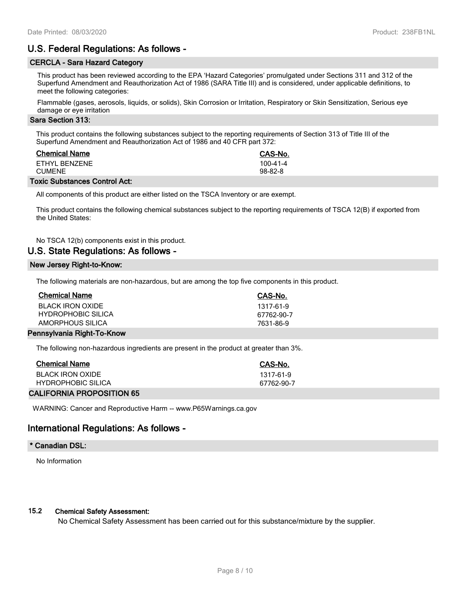# **U.S. Federal Regulations: As follows -**

#### **CERCLA - Sara Hazard Category**

This product has been reviewed according to the EPA 'Hazard Categories' promulgated under Sections 311 and 312 of the Superfund Amendment and Reauthorization Act of 1986 (SARA Title III) and is considered, under applicable definitions, to meet the following categories:

Flammable (gases, aerosols, liquids, or solids), Skin Corrosion or Irritation, Respiratory or Skin Sensitization, Serious eye damage or eye irritation

#### **Sara Section 313:**

This product contains the following substances subject to the reporting requirements of Section 313 of Title III of the Superfund Amendment and Reauthorization Act of 1986 and 40 CFR part 372:

| <b>Chemical Name</b>    | CAS-No.               |
|-------------------------|-----------------------|
| FTHYL BENZENE<br>CUMENE | 100-41-4<br>$98-82-8$ |
|                         |                       |

#### **Toxic Substances Control Act:**

All components of this product are either listed on the TSCA Inventory or are exempt.

This product contains the following chemical substances subject to the reporting requirements of TSCA 12(B) if exported from the United States:

#### No TSCA 12(b) components exist in this product.

#### **U.S. State Regulations: As follows -**

#### **New Jersey Right-to-Know:**

The following materials are non-hazardous, but are among the top five components in this product.

| <b>Chemical Name</b>      | CAS-No.    |
|---------------------------|------------|
| BLACK IRON OXIDE          | 1317-61-9  |
| <b>HYDROPHOBIC SILICA</b> | 67762-90-7 |
| AMORPHOUS SILICA          | 7631-86-9  |
| waaykania Diaht Ta Kaaw   |            |

#### **Pennsylvania Right-To-Know**

The following non-hazardous ingredients are present in the product at greater than 3%.

| <b>Chemical Name</b>      | CAS-No.    |
|---------------------------|------------|
| BLACK IRON OXIDE          | 1317-61-9  |
| <b>HYDROPHOBIC SILICA</b> | 67762-90-7 |
|                           |            |

#### **CALIFORNIA PROPOSITION 65**

WARNING: Cancer and Reproductive Harm -- www.P65Warnings.ca.gov

## **International Regulations: As follows -**

#### **\* Canadian DSL:**

No Information

#### **15.2 Chemical Safety Assessment:**

No Chemical Safety Assessment has been carried out for this substance/mixture by the supplier.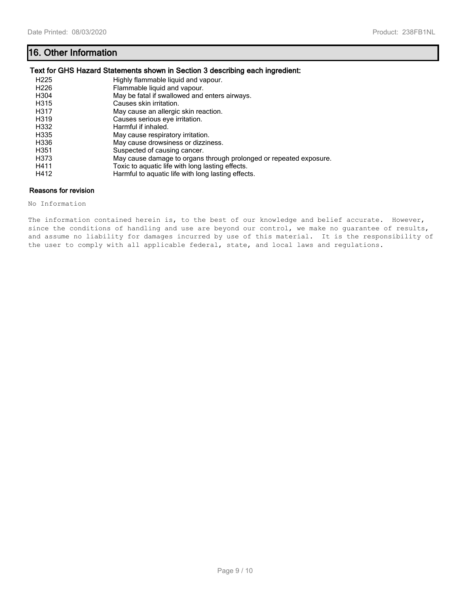# **16. Other Information**

#### **Text for GHS Hazard Statements shown in Section 3 describing each ingredient:**

| H <sub>225</sub>  | Highly flammable liquid and vapour.                                |
|-------------------|--------------------------------------------------------------------|
| H <sub>226</sub>  | Flammable liquid and vapour.                                       |
| H304              | May be fatal if swallowed and enters airways.                      |
| H315              | Causes skin irritation.                                            |
| H317              | May cause an allergic skin reaction.                               |
| H <sub>3</sub> 19 | Causes serious eye irritation.                                     |
| H332              | Harmful if inhaled.                                                |
| H335              | May cause respiratory irritation.                                  |
| H336              | May cause drowsiness or dizziness.                                 |
| H351              | Suspected of causing cancer.                                       |
| H373              | May cause damage to organs through prolonged or repeated exposure. |
| H411              | Toxic to aquatic life with long lasting effects.                   |
| H412              | Harmful to aquatic life with long lasting effects.                 |

#### **Reasons for revision**

No Information

The information contained herein is, to the best of our knowledge and belief accurate. However, since the conditions of handling and use are beyond our control, we make no guarantee of results, and assume no liability for damages incurred by use of this material. It is the responsibility of the user to comply with all applicable federal, state, and local laws and regulations.